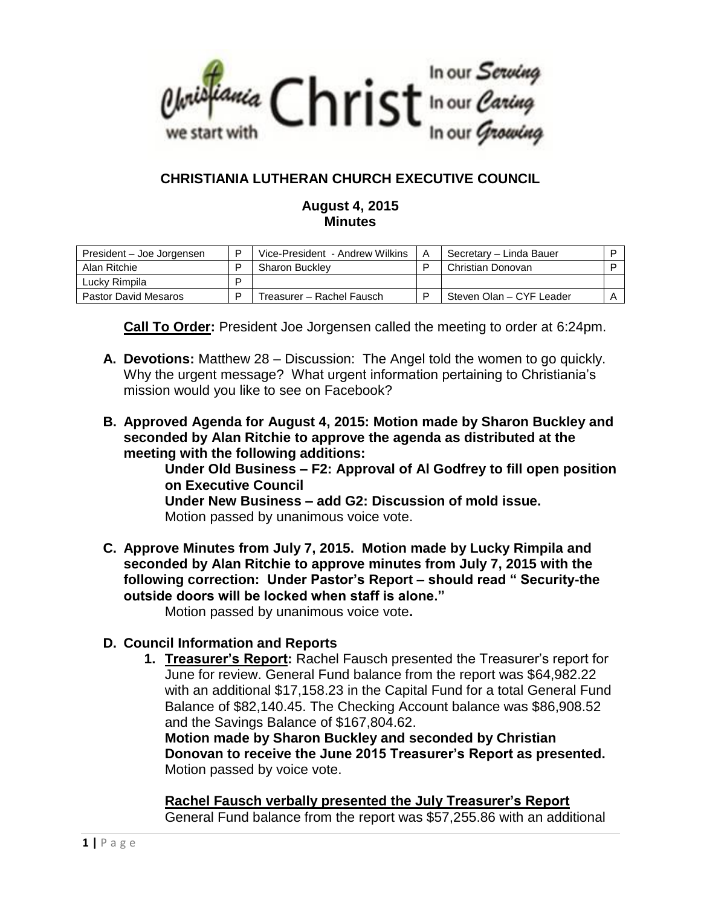

# **CHRISTIANIA LUTHERAN CHURCH EXECUTIVE COUNCIL**

#### **August 4, 2015 Minutes**

| President – Joe Jorgensen | D | Vice-President - Andrew Wilkins | A | Secretary - Linda Bauer  |  |
|---------------------------|---|---------------------------------|---|--------------------------|--|
| Alan Ritchie              |   | <b>Sharon Buckley</b>           |   | Christian Donovan        |  |
| Luckv Rimpila             | D |                                 |   |                          |  |
| Pastor David Mesaros      | ם | Treasurer – Rachel Fausch       |   | Steven Olan - CYF Leader |  |

**Call To Order:** President Joe Jorgensen called the meeting to order at 6:24pm.

- **A. Devotions:** Matthew 28 Discussion: The Angel told the women to go quickly. Why the urgent message? What urgent information pertaining to Christiania's mission would you like to see on Facebook?
- **B. Approved Agenda for August 4, 2015: Motion made by Sharon Buckley and seconded by Alan Ritchie to approve the agenda as distributed at the meeting with the following additions:**

**Under Old Business – F2: Approval of Al Godfrey to fill open position on Executive Council**

**Under New Business – add G2: Discussion of mold issue.** Motion passed by unanimous voice vote.

**C. Approve Minutes from July 7, 2015. Motion made by Lucky Rimpila and seconded by Alan Ritchie to approve minutes from July 7, 2015 with the following correction: Under Pastor's Report – should read " Security-the outside doors will be locked when staff is alone."**

Motion passed by unanimous voice vote**.**

### **D. Council Information and Reports**

**1. Treasurer's Report:** Rachel Fausch presented the Treasurer's report for June for review. General Fund balance from the report was \$64,982.22 with an additional \$17,158.23 in the Capital Fund for a total General Fund Balance of \$82,140.45. The Checking Account balance was \$86,908.52 and the Savings Balance of \$167,804.62.

**Motion made by Sharon Buckley and seconded by Christian Donovan to receive the June 2015 Treasurer's Report as presented.** Motion passed by voice vote.

**Rachel Fausch verbally presented the July Treasurer's Report**  General Fund balance from the report was \$57,255.86 with an additional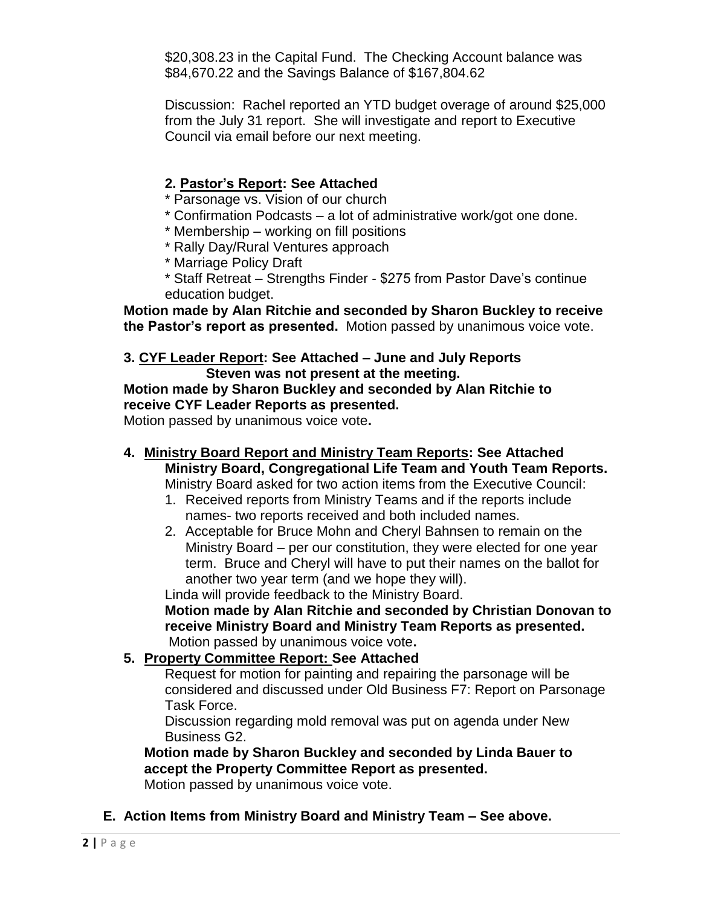\$20,308.23 in the Capital Fund. The Checking Account balance was \$84,670.22 and the Savings Balance of \$167,804.62

Discussion: Rachel reported an YTD budget overage of around \$25,000 from the July 31 report. She will investigate and report to Executive Council via email before our next meeting.

## **2. Pastor's Report: See Attached**

- \* Parsonage vs. Vision of our church
- \* Confirmation Podcasts a lot of administrative work/got one done.
- \* Membership working on fill positions
- \* Rally Day/Rural Ventures approach
- \* Marriage Policy Draft
- \* Staff Retreat Strengths Finder \$275 from Pastor Dave's continue education budget.

**Motion made by Alan Ritchie and seconded by Sharon Buckley to receive the Pastor's report as presented.** Motion passed by unanimous voice vote.

#### **3. CYF Leader Report: See Attached – June and July Reports Steven was not present at the meeting.**

**Motion made by Sharon Buckley and seconded by Alan Ritchie to receive CYF Leader Reports as presented.** 

Motion passed by unanimous voice vote**.**

- **4. Ministry Board Report and Ministry Team Reports: See Attached Ministry Board, Congregational Life Team and Youth Team Reports.** Ministry Board asked for two action items from the Executive Council:
	- 1. Received reports from Ministry Teams and if the reports include names- two reports received and both included names.
	- 2. Acceptable for Bruce Mohn and Cheryl Bahnsen to remain on the Ministry Board – per our constitution, they were elected for one year term. Bruce and Cheryl will have to put their names on the ballot for another two year term (and we hope they will).

Linda will provide feedback to the Ministry Board.

**Motion made by Alan Ritchie and seconded by Christian Donovan to receive Ministry Board and Ministry Team Reports as presented.**  Motion passed by unanimous voice vote**.**

## **5. Property Committee Report: See Attached**

Request for motion for painting and repairing the parsonage will be considered and discussed under Old Business F7: Report on Parsonage Task Force.

Discussion regarding mold removal was put on agenda under New Business G2.

**Motion made by Sharon Buckley and seconded by Linda Bauer to accept the Property Committee Report as presented.**  Motion passed by unanimous voice vote.

**E. Action Items from Ministry Board and Ministry Team – See above.**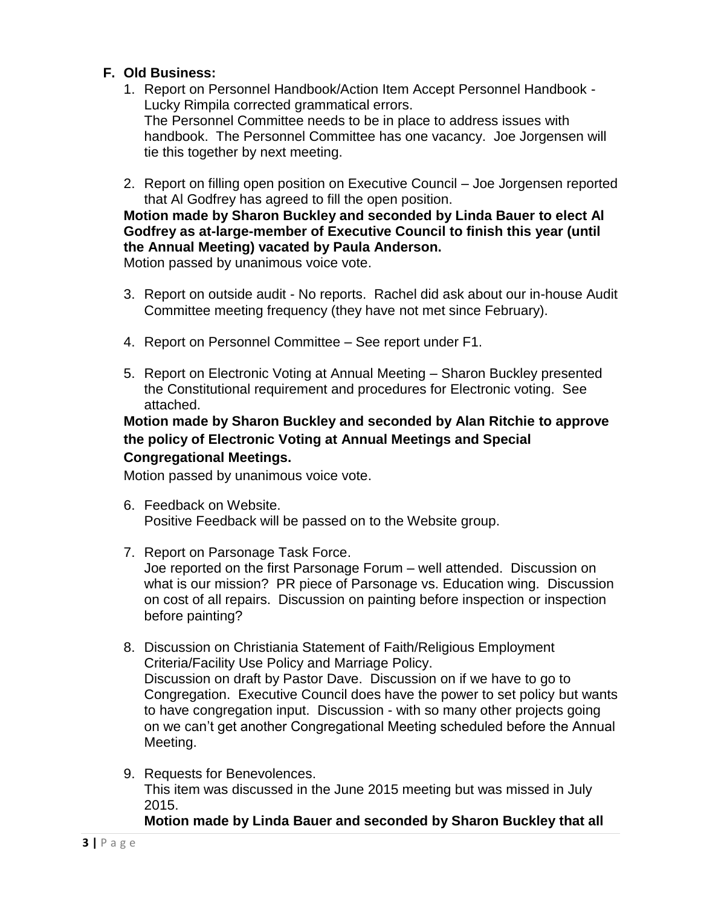## **F. Old Business:**

- 1. Report on Personnel Handbook/Action Item Accept Personnel Handbook Lucky Rimpila corrected grammatical errors. The Personnel Committee needs to be in place to address issues with handbook. The Personnel Committee has one vacancy. Joe Jorgensen will tie this together by next meeting.
- 2. Report on filling open position on Executive Council Joe Jorgensen reported that Al Godfrey has agreed to fill the open position.

# **Motion made by Sharon Buckley and seconded by Linda Bauer to elect Al Godfrey as at-large-member of Executive Council to finish this year (until the Annual Meeting) vacated by Paula Anderson.**

Motion passed by unanimous voice vote.

- 3. Report on outside audit No reports. Rachel did ask about our in-house Audit Committee meeting frequency (they have not met since February).
- 4. Report on Personnel Committee See report under F1.
- 5. Report on Electronic Voting at Annual Meeting Sharon Buckley presented the Constitutional requirement and procedures for Electronic voting. See attached.

**Motion made by Sharon Buckley and seconded by Alan Ritchie to approve the policy of Electronic Voting at Annual Meetings and Special Congregational Meetings.**

Motion passed by unanimous voice vote.

6. Feedback on Website. Positive Feedback will be passed on to the Website group.

### 7. Report on Parsonage Task Force. Joe reported on the first Parsonage Forum – well attended. Discussion on what is our mission? PR piece of Parsonage vs. Education wing. Discussion on cost of all repairs. Discussion on painting before inspection or inspection before painting?

- 8. Discussion on Christiania Statement of Faith/Religious Employment Criteria/Facility Use Policy and Marriage Policy. Discussion on draft by Pastor Dave. Discussion on if we have to go to Congregation. Executive Council does have the power to set policy but wants to have congregation input. Discussion - with so many other projects going on we can't get another Congregational Meeting scheduled before the Annual Meeting.
- 9. Requests for Benevolences. This item was discussed in the June 2015 meeting but was missed in July 2015.

**Motion made by Linda Bauer and seconded by Sharon Buckley that all**